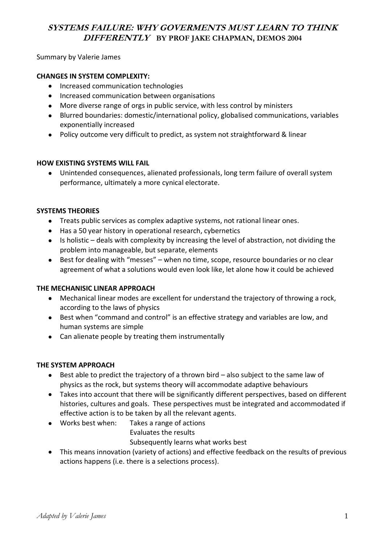# **SYSTEMS FAILURE: WHY GOVERMENTS MUST LEARN TO THINK DIFFERENTLY BY PROF JAKE CHAPMAN, DEMOS 2004**

Summary by Valerie James

### **CHANGES IN SYSTEM COMPLEXITY:**

- $\bullet$ Increased communication technologies
- Increased communication between organisations
- More diverse range of orgs in public service, with less control by ministers
- Blurred boundaries: domestic/international policy, globalised communications, variables exponentially increased
- Policy outcome very difficult to predict, as system not straightforward & linear

#### **HOW EXISTING SYSTEMS WILL FAIL**

Unintended consequences, alienated professionals, long term failure of overall system  $\bullet$ performance, ultimately a more cynical electorate.

### **SYSTEMS THEORIES**

- Treats public services as complex adaptive systems, not rational linear ones.
- Has a 50 year history in operational research, cybernetics
- Is holistic deals with complexity by increasing the level of abstraction, not dividing the problem into manageable, but separate, elements
- Best for dealing with "messes" when no time, scope, resource boundaries or no clear agreement of what a solutions would even look like, let alone how it could be achieved

#### **THE MECHANISIC LINEAR APPROACH**

- Mechanical linear modes are excellent for understand the trajectory of throwing a rock, according to the laws of physics
- Best when "command and control" is an effective strategy and variables are low, and human systems are simple
- Can alienate people by treating them instrumentally

#### **THE SYSTEM APPROACH**

- Best able to predict the trajectory of a thrown bird also subject to the same law of  $\bullet$ physics as the rock, but systems theory will accommodate adaptive behaviours
- Takes into account that there will be significantly different perspectives, based on different histories, cultures and goals. These perspectives must be integrated and accommodated if effective action is to be taken by all the relevant agents.
- Works best when: Takes a range of actions
	- Evaluates the results

Subsequently learns what works best

This means innovation (variety of actions) and effective feedback on the results of previous actions happens (i.e. there is a selections process).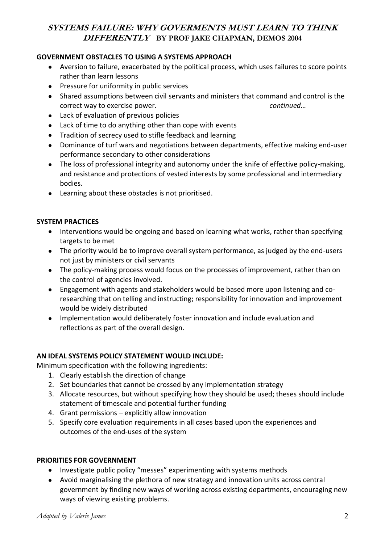# **SYSTEMS FAILURE: WHY GOVERMENTS MUST LEARN TO THINK DIFFERENTLY BY PROF JAKE CHAPMAN, DEMOS 2004**

## **GOVERNMENT OBSTACLES TO USING A SYSTEMS APPROACH**

- Aversion to failure, exacerbated by the political process, which uses failures to score points rather than learn lessons
- **•** Pressure for uniformity in public services
- Shared assumptions between civil servants and ministers that command and control is the correct way to exercise power. *continued…*
- Lack of evaluation of previous policies
- Lack of time to do anything other than cope with events
- Tradition of secrecy used to stifle feedback and learning
- Dominance of turf wars and negotiations between departments, effective making end-user  $\bullet$ performance secondary to other considerations
- The loss of professional integrity and autonomy under the knife of effective policy-making,  $\bullet$ and resistance and protections of vested interests by some professional and intermediary bodies.
- Learning about these obstacles is not prioritised.

### **SYSTEM PRACTICES**

- Interventions would be ongoing and based on learning what works, rather than specifying targets to be met
- The priority would be to improve overall system performance, as judged by the end-users not just by ministers or civil servants
- The policy-making process would focus on the processes of improvement, rather than on the control of agencies involved.
- Engagement with agents and stakeholders would be based more upon listening and coresearching that on telling and instructing; responsibility for innovation and improvement would be widely distributed
- Implementation would deliberately foster innovation and include evaluation and reflections as part of the overall design.

## **AN IDEAL SYSTEMS POLICY STATEMENT WOULD INCLUDE:**

Minimum specification with the following ingredients:

- 1. Clearly establish the direction of change
- 2. Set boundaries that cannot be crossed by any implementation strategy
- 3. Allocate resources, but without specifying how they should be used; theses should include statement of timescale and potential further funding
- 4. Grant permissions explicitly allow innovation
- 5. Specify core evaluation requirements in all cases based upon the experiences and outcomes of the end-uses of the system

## **PRIORITIES FOR GOVERNMENT**

- Investigate public policy "messes" experimenting with systems methods
- Avoid marginalising the plethora of new strategy and innovation units across central government by finding new ways of working across existing departments, encouraging new ways of viewing existing problems.